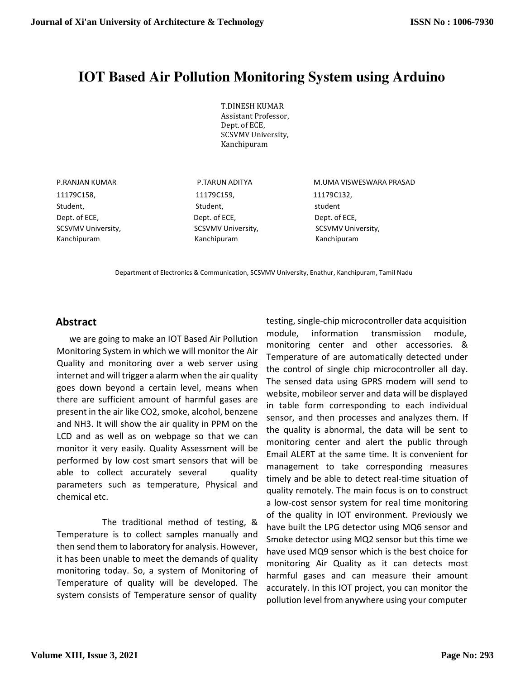# **IOT Based Air Pollution Monitoring System using Arduino**

T.DINESH KUMAR Assistant Professor, Dept. of ECE, SCSVMV University, Kanchipuram

11179C158, 11179C159, 11179C132, Student, Student, Student, Student, Student, Student, Student, Student, Student, Student Dept. of ECE, Dept. of ECE, Dept. of ECE, SCSVMV University, SCSVMV University, SCSVMV University, SCSVMV University, Kanchipuram Kanchipuram Kanchipuram

P.RANJAN KUMAR P.TARUN ADITYA M.UMA VISWESWARA PRASAD

Department of Electronics & Communication, SCSVMV University, Enathur, Kanchipuram, Tamil Nadu

we are going to make an IOT Based Air Pollution Monitoring System in which we will monitor the Air Quality and monitoring over a web server using internet and will trigger a alarm when the air quality goes down beyond a certain level, means when there are sufficient amount of harmful gases are present in the air like CO2, smoke, alcohol, benzene and NH3. It will show the air quality in PPM on the LCD and as well as on webpage so that we can monitor it very easily. Quality Assessment will be performed by low cost smart sensors that will be able to collect accurately several quality parameters such as temperature, Physical and chemical etc.

The traditional method of testing, & Temperature is to collect samples manually and then send them to laboratory for analysis. However, it has been unable to meet the demands of quality monitoring today. So, a system of Monitoring of Temperature of quality will be developed. The system consists of Temperature sensor of quality

**Abstract** testing, single-chip microcontroller data acquisition module, information transmission module, monitoring center and other accessories. & Temperature of are automatically detected under the control of single chip microcontroller all day. The sensed data using GPRS modem will send to website, mobileor server and data will be displayed in table form corresponding to each individual sensor, and then processes and analyzes them. If the quality is abnormal, the data will be sent to monitoring center and alert the public through Email ALERT at the same time. It is convenient for management to take corresponding measures timely and be able to detect real-time situation of quality remotely. The main focus is on to construct a low-cost sensor system for real time monitoring of the quality in IOT environment. Previously we have built the LPG detector using MQ6 sensor and Smoke detector using MQ2 sensor but this time we have used MQ9 sensor which is the best choice for monitoring Air Quality as it can detects most harmful gases and can measure their amount accurately. In this IOT project, you can monitor the pollution level from anywhere using your computer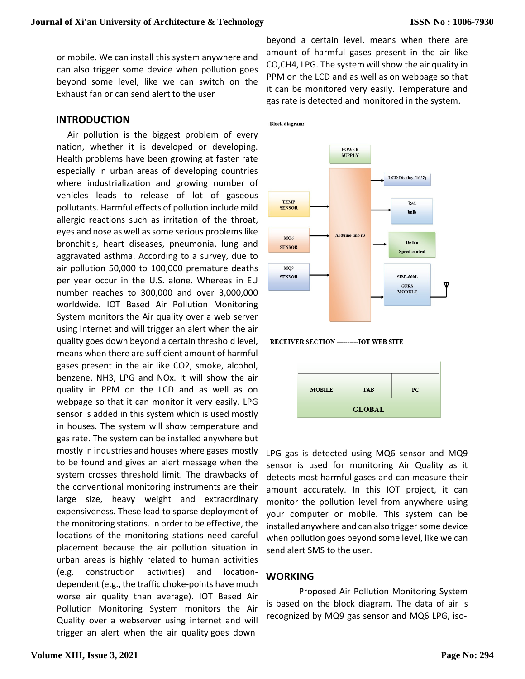or mobile. We can install this system anywhere and can also trigger some device when pollution goes beyond some level, like we can switch on the Exhaust fan or can send alert to the user

# **INTRODUCTION**

Air pollution is the biggest problem of every nation, whether it is developed or developing. Health problems have been growing at faster rate especially in urban areas of developing countries where industrialization and growing number of vehicles leads to release of lot of gaseous pollutants. Harmful effects of pollution include mild allergic reactions such as irritation of the throat, eyes and nose as well as some serious problems like bronchitis, heart diseases, pneumonia, lung and aggravated asthma. According to a survey, due to air pollution 50,000 to 100,000 premature deaths per year occur in the U.S. alone. Whereas in EU number reaches to 300,000 and over 3,000,000 worldwide. IOT Based Air Pollution Monitoring System monitors the Air quality over a web server using Internet and will trigger an alert when the air quality goes down beyond a certain threshold level, means when there are sufficient amount of harmful gases present in the air like CO2, smoke, alcohol, benzene, NH3, LPG and NOx. It will show the air quality in PPM on the LCD and as well as on webpage so that it can monitor it very easily. LPG sensor is added in this system which is used mostly in houses. The system will show temperature and gas rate. The system can be installed anywhere but mostly in industries and houses where gases mostly to be found and gives an alert message when the system crosses threshold limit. The drawbacks of the conventional monitoring instruments are their large size, heavy weight and extraordinary expensiveness. These lead to sparse deployment of the monitoring stations. In order to be effective, the locations of the monitoring stations need careful placement because the air pollution situation in urban areas is highly related to human activities (e.g. construction activities) and locationdependent (e.g., the traffic choke-points have much worse air quality than average). IOT Based Air Pollution Monitoring System monitors the Air Quality over a webserver using internet and will trigger an alert when the air quality goes down

beyond a certain level, means when there are amount of harmful gases present in the air like CO,CH4, LPG. The system will show the air quality in PPM on the LCD and as well as on webpage so that it can be monitored very easily. Temperature and gas rate is detected and monitored in the system.

**Block diagram:** 







LPG gas is detected using MQ6 sensor and MQ9 sensor is used for monitoring Air Quality as it detects most harmful gases and can measure their amount accurately. In this IOT project, it can monitor the pollution level from anywhere using your computer or mobile. This system can be installed anywhere and can also trigger some device when pollution goes beyond some level, like we can send alert SMS to the user.

# **WORKING**

Proposed Air Pollution Monitoring System is based on the block diagram. The data of air is recognized by MQ9 gas sensor and MQ6 LPG, iso-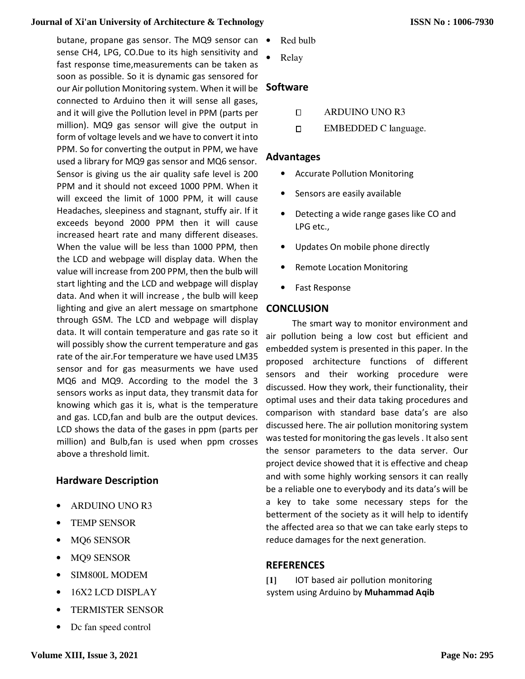# **Journal of Xi'an University of Architecture & Technology**

butane, propane gas sensor. The MQ9 sensor can sense CH4, LPG, CO.Due to its high sensitivity and fast response time, measurements can be taken as soon as possible. So it is dynamic gas sensored for soon as possible. So it is dynamic gas sensored for<br>our Air pollution Monitoring system. When it will be connected to Arduino then it will sense all gases,  $\Box$ 

and it will give the Pollution level in PPM (parts per million). MQ9 gas sensor will give the output in form of voltage levels and we have to convert it into PPM. So for converting the output in PPM, PPM, we have used a library for MQ9 gas sensor and MQ6 sensor. Sensor is giving us the air quality safe level is 200<br>PPM and it should not exceed 1000 PPM. When it<br>will exceed the limit of 1000 PPM, it will cause PPM and it should not exceed 1000 PPM. When it will exceed the limit of 1000 PPM, it will cause Headaches, sleepiness and stagnant, stuffy air. If it exceeds beyond 2000 PPM then it will cause increased heart rate and many different diseases. When the value will be less than 1000 PPM, then the LCD and webpage will display data. When the value will increase from 200 PPM, then start lighting and the LCD and webpage will display data. And when it will increase , the bulb will keep lighting and give an alert message on smartphone through GSM. The LCD and webpage will display data. It will contain temperature and gas rate so i will possibly show the current temperature and gas rate of the air.For temperature we have have used LM35 sensor and for gas measurments we have used MQ6 and MQ9. According to the model the 3 sensors works as input data, they transmit data for knowing which gas it is, what is the temperature and gas. LCD,fan and bulb are the output devices. LCD shows the data of the gases in ppm (parts per million) and Bulb, fan is used when ppm crosses above a threshold limit. connected to Arduino then it will sense all gases,<br>and it will give the Pollution level in PPM (parts per<br>million). MQ9 gas sensor will give the output in<br>form of voltage levels and we have to convert it into heart rate and many different diseases.<br>value will be less than 1000 PPM, then<br>nd webpage will display data. When the<br>ncrease from 200 PPM, then the bulb will ighting and the LCD and webpage will display<br>And when it will increase, the bulb will keep<br>ig and give an alert message on smartphone<br>gh GSM. The LCD and webpage will display<br>It will contain temperature and gas rate so it ors works as input data, they transmit data for<br>ving which gas it is, what is the temperature<br>gas. LCD, fan and bulb are the output devices.<br>shows the data of the gases in ppm (parts per<br>on) and Bulb, fan is used when ppm

# **Hardware Description**

- ARDUINO UNO R3
- **TEMP SENSOR**
- MQ6 SENSOR
- MQ9 SENSOR
- SIM800L MODEM
- 16X2 LCD DISPLAY
- TERMISTER SENSOR
- Dc fan speed control
- Red bulb
- Relay

# **Software**

- ARDUINO UNO UNO R3
- $\Box$ EMBEDDED C language.

# **Advantages**

- Accurate Pollution Monitoring
- Sensors are easily available
- Detecting a wide range gases like CO and LPG etc.,
- Updates On mobile phone directly
- Remote Location Monitoring
- Fast Response

# **CONCLUSION**

The smart way to monitor environment and<br>Ilution being a low cost but efficient and air pollution being a low cost but efficient and embedded system is presented in this paper. In the proposed architecture functions of different sensors and their working procedure were discussed. How they work, their functionality, their optimal uses and their data taking procedures and comparison with standard base data's are also discussed here. The air pollution monitoring system was tested for monitoring the gas levels . It also sent the sensor parameters to the the data server. Our project device showed that it is effective and cheap and with some highly working sensors it can really be a reliable one to everybody and its data's will be a key to take some necessary steps for the betterment of the society as it will help to identify betterment of the society as it will help to identify<br>the affected area so that we can take early steps to reduce damages for the next generation .

# **REFERENCES**

**[1]** IOT based air pollution monitoring system using Arduino by **Muhammad Aqib**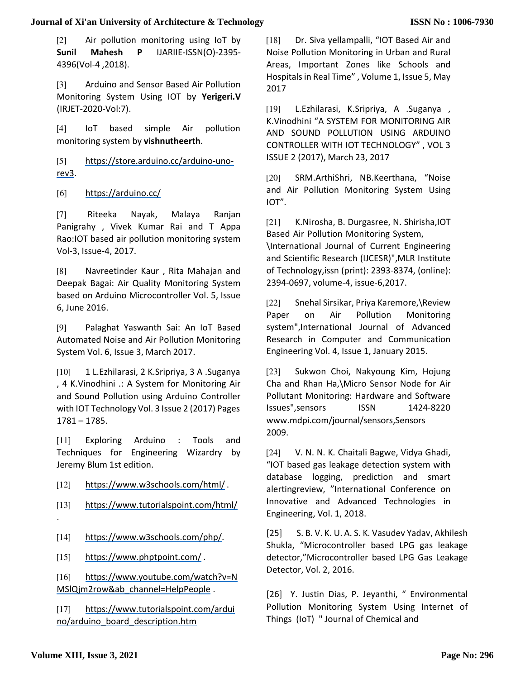# **Journal of Xi'an University of Architecture & Technology**

[2] Air pollution monitoring using IoT by **Sunil Mahesh P** IJARIIE-ISSN(O)-2395- 4396(Vol-4 ,2018).

[3] Arduino and Sensor Based Air Pollution Monitoring System Using IOT by **Yerigeri.V**  (IRJET-2020-Vol:7).

[4] IoT based simple Air pollution monitoring system by **vishnutheerth**.

[5] https://store.arduino.cc/arduino-unorev3.

[6] https://arduino.cc/

[7] Riteeka Nayak, Malaya Ranjan Panigrahy , Vivek Kumar Rai and T Appa Rao:IOT based air pollution monitoring system Vol-3, Issue-4, 2017.

[8] Navreetinder Kaur , Rita Mahajan and Deepak Bagai: Air Quality Monitoring System based on Arduino Microcontroller Vol. 5, Issue 6, June 2016.

[9] Palaghat Yaswanth Sai: An IoT Based Automated Noise and Air Pollution Monitoring System Vol. 6, Issue 3, March 2017.

[10] 1 L.Ezhilarasi, 2 K.Sripriya, 3 A .Suganya , 4 K.Vinodhini .: A System for Monitoring Air and Sound Pollution using Arduino Controller with IOT Technology Vol. 3 Issue 2 (2017) Pages 1781 – 1785.

[11] Exploring Arduino : Tools and Techniques for Engineering Wizardry by Jeremy Blum 1st edition.

[12] https://www.w3schools.com/html/.

[13] https://www.tutorialspoint.com/html/ .

[14] https://www.w3schools.com/php/.

[15] https://www.phptpoint.com/ .

[16] https://www.youtube.com/watch?v=N MSlQjm2row&ab\_channel=HelpPeople .

[17] https://www.tutorialspoint.com/ardui no/arduino\_board\_description.htm

[18] Dr. Siva yellampalli, "IOT Based Air and Noise Pollution Monitoring in Urban and Rural Areas, Important Zones like Schools and Hospitals in Real Time" , Volume 1, Issue 5, May 2017

[19] L.Ezhilarasi, K.Sripriya, A .Suganya , K.Vinodhini "A SYSTEM FOR MONITORING AIR AND SOUND POLLUTION USING ARDUINO CONTROLLER WITH IOT TECHNOLOGY" , VOL 3 ISSUE 2 (2017), March 23, 2017

[20] SRM.ArthiShri, NB.Keerthana, "Noise and Air Pollution Monitoring System Using IOT".

[21] K.Nirosha, B. Durgasree, N. Shirisha,IOT Based Air Pollution Monitoring System,

\International Journal of Current Engineering and Scientific Research (IJCESR)",MLR Institute of Technology,issn (print): 2393-8374, (online): 2394-0697, volume-4, issue-6,2017.

[22] Snehal Sirsikar, Priya Karemore,\Review Paper on Air Pollution Monitoring system",International Journal of Advanced Research in Computer and Communication Engineering Vol. 4, Issue 1, January 2015.

[23] Sukwon Choi, Nakyoung Kim, Hojung Cha and Rhan Ha,\Micro Sensor Node for Air Pollutant Monitoring: Hardware and Software Issues",sensors ISSN 1424-8220 www.mdpi.com/journal/sensors,Sensors 2009.

[24] V. N. N. K. Chaitali Bagwe, Vidya Ghadi, "IOT based gas leakage detection system with database logging, prediction and smart alertingreview, "International Conference on Innovative and Advanced Technologies in Engineering, Vol. 1, 2018.

[25] S. B. V. K. U. A. S. K. Vasudev Yadav, Akhilesh Shukla, "Microcontroller based LPG gas leakage detector,"Microcontroller based LPG Gas Leakage Detector, Vol. 2, 2016.

[26] Y. Justin Dias, P. Jeyanthi, " Environmental Pollution Monitoring System Using Internet of Things (IoT) " Journal of Chemical and